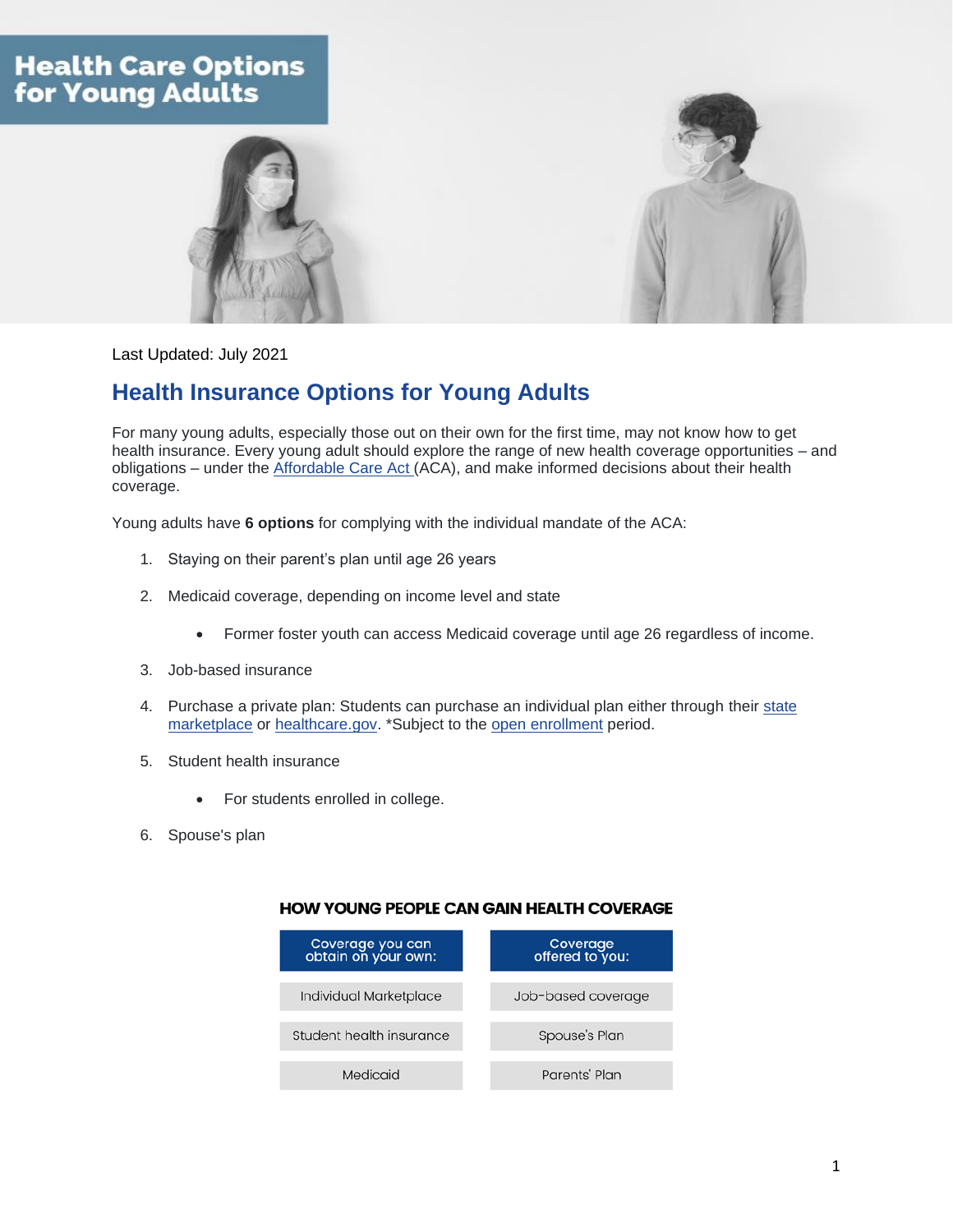## **Health Care Options** for Young Adults





Last Updated: July 2021

## **Health Insurance Options for Young Adults**

For many young adults, especially those out on their own for the first time, may not know how to get health insurance. Every young adult should explore the range of new health coverage opportunities – and obligations – under the [Affordable](https://www.healthcare.gov/glossary/affordable-care-act/) Care Act (ACA), and make informed decisions about their health coverage.

Young adults have **6 options** for complying with the individual mandate of the ACA:

- 1. Staying on their parent's plan until age 26 years
- 2. Medicaid coverage, depending on income level and state
	- Former foster youth can access Medicaid coverage until age 26 regardless of income.
- 3. Job-based insurance
- 4. Purchase a private plan: Students can purchase an individual plan either through their [state](https://www.healthcare.gov/marketplace-in-your-state/) [marketplace](https://www.healthcare.gov/marketplace-in-your-state/) or [healthcare.gov.](https://www.healthcare.gov/quick-guide/dates-and-deadlines/) \*Subject to the open [enrollment](https://www.transamericainstitute.org/health-wellness/health-care-guides/open-enrollment-2021) period.
- 5. Student health insurance
	- For students enrolled in college.
- 6. Spouse's plan

## **HOW YOUNG PEOPLE CAN GAIN HEALTH COVERAGE**